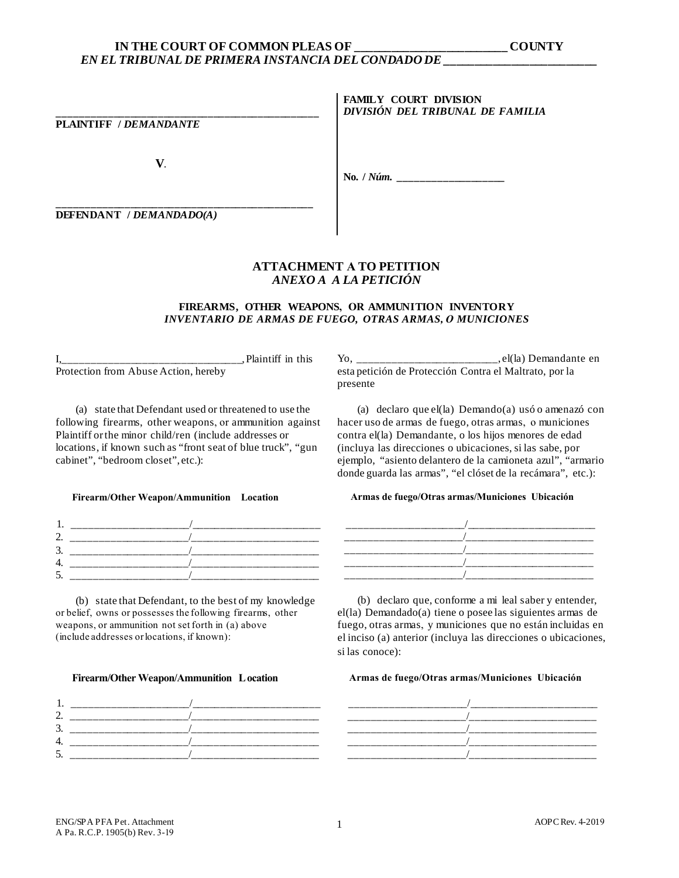## **IN THE COURT OF COMMON PLEAS OF \_\_\_\_\_\_\_\_\_\_\_\_\_\_\_\_\_\_\_\_\_\_\_\_\_ COUNTY** *EN EL TRIBUNAL DE PRIMERA INSTANCIA DEL CONDADO DE \_\_\_\_\_\_\_\_\_\_\_\_\_\_\_\_\_\_\_\_\_\_\_\_\_*

**\_\_\_\_\_\_\_\_\_\_\_\_\_\_\_\_\_\_\_\_\_\_\_\_\_\_\_\_\_\_\_\_\_\_\_\_\_\_\_\_\_\_\_\_\_\_\_ PLAINTIFF /** *DEMANDANTE* **V**. **\_\_\_\_\_\_\_\_\_\_\_\_\_\_\_\_\_\_\_\_\_\_\_\_\_\_\_\_\_\_\_\_\_\_\_\_\_\_\_\_\_\_\_\_\_\_ DEFENDANT /** *DEMANDADO(A)*

# **ATTACHMENT А TO PETITION**  *ANEXO A A LA PETICIÓN*

## **FIREARMS, OTHER WEAPONS, OR AMMUNITION INVENTORY**  *INVENTARIO DE ARMAS DE FUEGO, OTRAS ARMAS, O MUNICIONES*

I,\_\_\_\_\_\_\_\_\_\_\_\_\_\_\_\_\_\_\_\_\_\_\_\_\_\_\_\_\_\_\_\_, Plaintiff in this Protection from Abuse Action, hereby

(a) state that Defendant used or threatened to use the following firearms, other weapons, or ammunition against Plaintiff or the minor child/ren (include addresses or locations, if known such as "front seat of blue truck", "gun cabinet", "bedroom closet", etc.):

#### **Firearm/Other Weapon/Ammunition Location**

| ___     |  |
|---------|--|
| ╭<br>J. |  |
|         |  |
| .       |  |

(b) state that Defendant, to the best of my knowledge or belief, owns or possesses the following firearms, other weapons, or ammunition not set forth in (a) above (include addresses orlocations, if known):

#### **Firearm/Other Weapon/Ammunition Location**



Yo, \_\_\_\_\_\_\_\_\_\_\_\_\_\_\_\_\_\_\_\_\_\_\_\_\_, el(la) Demandante en esta petición de Protección Contra el Maltrato, por la presente

(a) declaro que el(la) Demando(a) usó o amenazó con hacer uso de armas de fuego, otras armas, o municiones contra el(la) Demandante, o los hijos menores de edad (incluya las direcciones o ubicaciones, si las sabe, por ejemplo, "asiento delantero de la camioneta azul", "armario donde guarda las armas", "el clóset de la recámara", etc.):

#### **Armas de fuego/Otras armas/Municiones Ubicación**



(b) declaro que, conforme a mi leal saber y entender, el(la) Demandado(a) tiene o posee las siguientes armas de fuego, otras armas, y municiones que no están incluidas en el inciso (a) anterior (incluya las direcciones o ubicaciones, si las conoce):

#### **Armas de fuego/Otras armas/Municiones Ubicación**

**FAMILY COURT DIVISION** *DIVISIÓN DEL TRIBUNAL DE FAMILIA* 

**No. /** *Núm.* **\_\_\_\_\_\_\_\_\_\_\_\_\_\_\_\_\_\_\_**